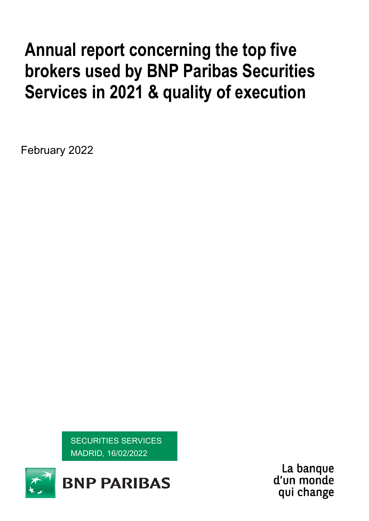# **Annual report concerning the top five brokers used by BNP Paribas Securities Services in 2021 & quality of execution**

February 2022

SECURITIES SERVICES MADRID, 16/02/2022



La banque d'un monde qui change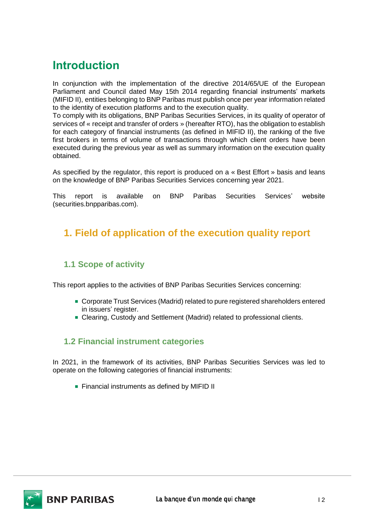## **Introduction**

In conjunction with the implementation of the directive 2014/65/UE of the European Parliament and Council dated May 15th 2014 regarding financial instruments' markets (MIFID II), entities belonging to BNP Paribas must publish once per year information related to the identity of execution platforms and to the execution quality.

To comply with its obligations, BNP Paribas Securities Services, in its quality of operator of services of « receipt and transfer of orders » (hereafter RTO), has the obligation to establish for each category of financial instruments (as defined in MIFID II), the ranking of the five first brokers in terms of volume of transactions through which client orders have been executed during the previous year as well as summary information on the execution quality obtained.

As specified by the regulator, this report is produced on a « Best Effort » basis and leans on the knowledge of BNP Paribas Securities Services concerning year 2021.

This report is available on BNP Paribas Securities Services' website (securities.bnpparibas.com).

## **1. Field of application of the execution quality report**

## **1.1 Scope of activity**

This report applies to the activities of BNP Paribas Securities Services concerning:

- Corporate Trust Services (Madrid) related to pure registered shareholders entered in issuers' register.
- Clearing, Custody and Settlement (Madrid) related to professional clients.

## **1.2 Financial instrument categories**

In 2021, in the framework of its activities, BNP Paribas Securities Services was led to operate on the following categories of financial instruments:

**Financial instruments as defined by MIFID II** 

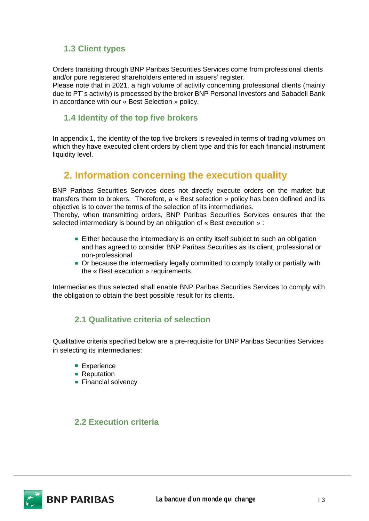## **1.3 Client types**

Orders transiting through BNP Paribas Securities Services come from professional clients and/or pure registered shareholders entered in issuers' register.

Please note that in 2021, a high volume of activity concerning professional clients (mainly due to PT´s activity) is processed by the broker BNP Personal Investors and Sabadell Bank in accordance with our « Best Selection » policy.

## **1.4 Identity of the top five brokers**

In appendix 1, the identity of the top five brokers is revealed in terms of trading volumes on which they have executed client orders by client type and this for each financial instrument liquidity level.

## **2. Information concerning the execution quality**

BNP Paribas Securities Services does not directly execute orders on the market but transfers them to brokers. Therefore, a « Best selection » policy has been defined and its objective is to cover the terms of the selection of its intermediaries.

Thereby, when transmitting orders, BNP Paribas Securities Services ensures that the selected intermediary is bound by an obligation of « Best execution » :

- **Either because the intermediary is an entity itself subject to such an obligation** and has agreed to consider BNP Paribas Securities as its client, professional or non-professional
- Or because the intermediary legally committed to comply totally or partially with the « Best execution » requirements.

Intermediaries thus selected shall enable BNP Paribas Securities Services to comply with the obligation to obtain the best possible result for its clients.

## **2.1 Qualitative criteria of selection**

Qualitative criteria specified below are a pre-requisite for BNP Paribas Securities Services in selecting its intermediaries:

- **Experience**
- Reputation
- **Financial solvency**

## **2.2 Execution criteria**

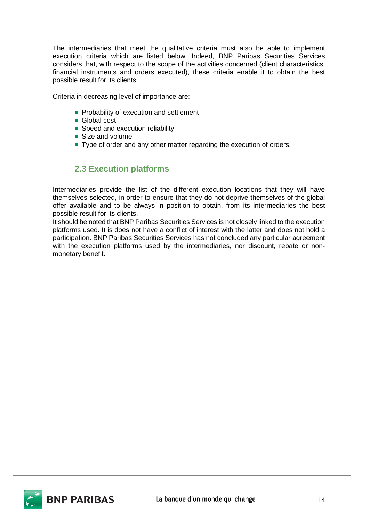The intermediaries that meet the qualitative criteria must also be able to implement execution criteria which are listed below. Indeed, BNP Paribas Securities Services considers that, with respect to the scope of the activities concerned (client characteristics, financial instruments and orders executed), these criteria enable it to obtain the best possible result for its clients.

Criteria in decreasing level of importance are:

- **Probability of execution and settlement**
- Global cost
- Speed and execution reliability
- Size and volume
- Type of order and any other matter regarding the execution of orders.

## **2.3 Execution platforms**

Intermediaries provide the list of the different execution locations that they will have themselves selected, in order to ensure that they do not deprive themselves of the global offer available and to be always in position to obtain, from its intermediaries the best possible result for its clients.

It should be noted that BNP Paribas Securities Services is not closely linked to the execution platforms used. It is does not have a conflict of interest with the latter and does not hold a participation. BNP Paribas Securities Services has not concluded any particular agreement with the execution platforms used by the intermediaries, nor discount, rebate or nonmonetary benefit.